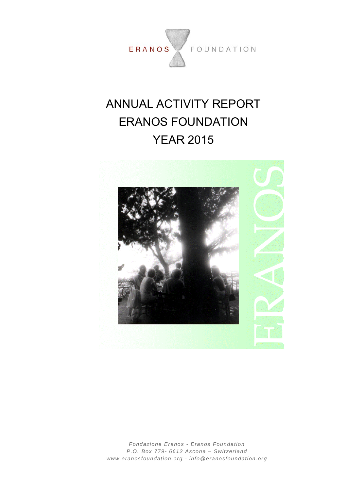

# ANNUAL ACTIVITY REPORT ERANOS FOUNDATION YEAR 2015



*Fondazione Eranos - Eranos Foundation P.O. Box 779- 6612 Ascona – Switzerland www.eranosfoundation.org - info@eranosfoundation.org*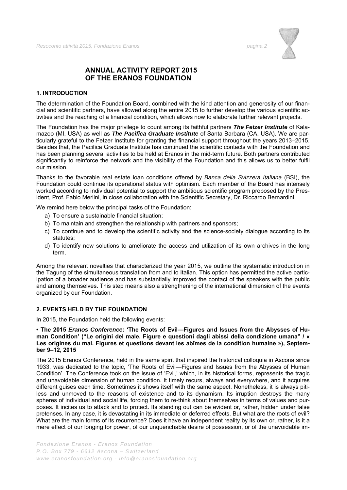

# **ANNUAL ACTIVITY REPORT 2015 OF THE ERANOS FOUNDATION**

# **1. INTRODUCTION**

The determination of the Foundation Board, combined with the kind attention and generosity of our financial and scientific partners, have allowed along the entire 2015 to further develop the various scientific activities and the reaching of a financial condition, which allows now to elaborate further relevant projects.

The Foundation has the major privilege to count among its faithful partners *The Fetzer Institute* of Kalamazoo (MI, USA) as well as *The Pacifica Graduate Institute* of Santa Barbara (CA, USA). We are particularly grateful to the Fetzer Institute for granting the financial support throughout the years 2013–2015. Besides that, the Pacifica Graduate Institute has continued the scientific contacts with the Foundation and has been planning several activities to be held at Eranos in the mid-term future. Both partners contributed significantly to reinforce the network and the visibility of the Foundation and this allows us to better fulfil our mission.

Thanks to the favorable real estate loan conditions offered by *Banca della Svizzera Italiana* (BSI), the Foundation could continue its operational status with optimism. Each member of the Board has intensely worked according to individual potential to support the ambitious scientific program proposed by the President, Prof. Fabio Merlini, in close collaboration with the Scientific Secretary, Dr. Riccardo Bernardini.

We remind here below the principal tasks of the Foundation:

- a) To ensure a sustainable financial situation;
- b) To maintain and strengthen the relationship with partners and sponsors;
- c) To continue and to develop the scientific activity and the science-society dialogue according to its statutes;
- d) To identify new solutions to ameliorate the access and utilization of its own archives in the long term.

Among the relevant novelties that characterized the year 2015, we outline the systematic introduction in the Tagung of the simultaneous translation from and to Italian. This option has permitted the active participation of a broader audience and has substantially improved the contact of the speakers with the public and among themselves. This step means also a strengthening of the international dimension of the events organized by our Foundation.

## **2. EVENTS HELD BY THE FOUNDATION**

In 2015, the Foundation held the following events:

## **• The 2015** *Eranos Conference***: 'The Roots of Evil—Figures and Issues from the Abysses of Human Condition' ("Le origini del male. Figure e questioni dagli abissi della condizione umana" / « Les origines du mal. Figures et questions devant les abîmes de la condition humaine »), September 9–12, 2015**

The 2015 Eranos Conference, held in the same spirit that inspired the historical colloquia in Ascona since 1933, was dedicated to the topic, 'The Roots of Evil—Figures and Issues from the Abysses of Human Condition'. The Conference took on the issue of 'Evil,' which, in its historical forms, represents the tragic and unavoidable dimension of human condition. It timely recurs, always and everywhere, and it acquires different guises each time. Sometimes it shows itself with the same aspect. Nonetheless, it is always pitiless and unmoved to the reasons of existence and to its dynamism. Its irruption destroys the many spheres of individual and social life, forcing them to re-think about themselves in terms of values and purposes. It incites us to attack and to protect. Its standing out can be evident or, rather, hidden under false pretenses. In any case, it is devastating in its immediate or deferred effects. But what are the roots of evil? What are the main forms of its recurrence? Does it have an independent reality by its own or, rather, is it a mere effect of our longing for power, of our unquenchable desire of possession, or of the unavoidable im-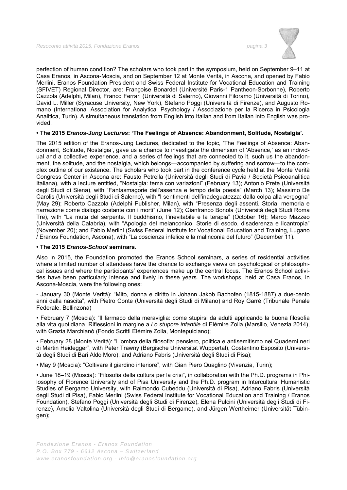

perfection of human condition? The scholars who took part in the symposium, held on September 9–11 at Casa Eranos, in Ascona-Moscia, and on September 12 at Monte Verità, in Ascona, and opened by Fabio Merlini, Eranos Foundation President and Swiss Federal Institute for Vocational Education and Training (SFIVET) Regional Director, are: Françoise Bonardel (Université Paris-1 Pantheon-Sorbonne), Roberto Cazzola (Adelphi, Milan), Franco Ferrari (Università di Salerno), Giovanni Filoramo (Università di Torino), David L. Miller (Syracuse University, New York), Stefano Poggi (Università di Firenze), and Augusto Romano (International Association for Analytical Psychology / Associazione per la Ricerca in Psicologia Analitica, Turin). A simultaneous translation from English into Italian and from Italian into English was provided.

## **• The 2015** *Eranos-Jung Lectures***: 'The Feelings of Absence: Abandonment, Solitude, Nostalgia'.**

The 2015 edition of the Eranos-Jung Lectures, dedicated to the topic, 'The Feelings of Absence: Abandonment, Solitude, Nostalgia', gave us a chance to investigate the dimension of 'Absence,' as an individual and a collective experience, and a series of feelings that are connected to it, such us the abandonment, the solitude, and the nostalgia, which belongs—accompanied by suffering and sorrow—to the complex outline of our existence. The scholars who took part in the conference cycle held at the Monte Verità Congress Center in Ascona are: Fausto Petrella (Università degli Studi di Pavia / Società Psicoanalitica Italiana), with a lecture entitled, "Nostalgia: tema con variazioni" (February 13); Antonio Prete (Università degli Studi di Siena), with "Fantasmagorie dell'assenza e tempo della poesia" (March 13); Massimo De Carolis (Università degli Studi di Salerno), with "I sentimenti dell'inadeguatezza: dalla colpa alla vergogna" (May 29); Roberto Cazzola (Adelphi Publisher, Milan), with "Presenza degli assenti. Storia, memoria e narrazione come dialogo costante con i morti" (June 12); Gianfranco Bonola (Università degli Studi Roma Tre), with "La muta del serpente. Il buddhismo, l'inevitabile e la terapia" (October 16); Marco Mazzeo (Università della Calabria), with "Apologia del melanconico. Storie di esodo, disaderenza e licantropia" (November 20); and Fabio Merlini (Swiss Federal Institute for Vocational Education and Training, Lugano / Eranos Foundation, Ascona), with "La coscienza infelice e la malinconia del futuro" (December 11).

## **• The 2015** *Eranos-School* **seminars.**

Also in 2015, the Foundation promoted the Eranos School seminars, a series of residential activities where a limited number of attendees have the chance to exchange views on psychological or philosophical issues and where the participants' experiences make up the central focus. The Eranos School activities have been particularly intense and lively in these years. The workshops, held at Casa Eranos, in Ascona-Moscia, were the following ones:

- January 30 (Monte Verità): "Mito, donna e diritto in Johann Jakob Bachofen (1815-1887) a due-cento anni dalla nascita", with Pietro Conte (Università degli Studi di Milano) and Roy Garré (Tribunale Penale Federale, Bellinzona)

• February 7 (Moscia): "Il farmaco della meraviglia: come stupirsi da adulti applicando la buona filosofia alla vita quotidiana. Riflessioni in margine a *Lo stupore infantile* di Elémire Zolla (Marsilio, Venezia 2014), with Grazia Marchianò (Fondo Scritti Elémire Zolla, Montepulciano);

• February 28 (Monte Verità): "L'ombra della filosofia: pensiero, politica e antisemitismo nei Quaderni neri di Martin Heidegger", with Peter Trawny (Bergische Universität Wuppertal), Costantino Esposito (Università degli Studi di Bari Aldo Moro), and Adriano Fabris (Università degli Studi di Pisa);

• May 9 (Moscia): "Coltivare il giardino interiore", with Gian Piero Quaglino (Vivenzia, Turin);

• June 18–19 (Moscia): "Filosofia della cultura per la crisi", in collaboration with the Ph.D. programs in Philosophy of Florence University and of Pisa University and the Ph.D. program in Intercultural Humanistic Studies of Bergamo University, with Raimondo Cubeddu (Università di Pisa), Adriano Fabris (Università degli Studi di Pisa), Fabio Merlini (Swiss Federal Institute for Vocational Education and Training / Eranos Foundation), Stefano Poggi (Università degli Studi di Firenze), Elena Pulcini (Università degli Studi di Firenze), Amelia Valtolina (Università degli Studi di Bergamo), and Jürgen Wertheimer (Universität Tübingen);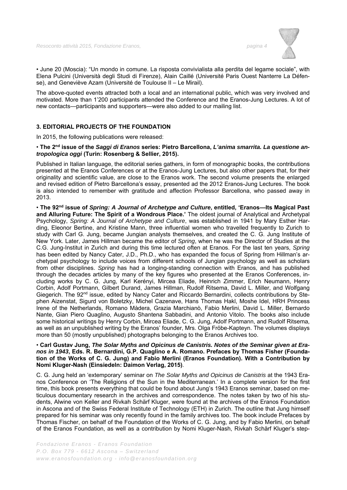

• June 20 (Moscia): "Un mondo in comune. La risposta convivialista alla perdita del legame sociale", with Elena Pulcini (Università degli Studi di Firenze), Alain Caillé (Université Paris Ouest Nanterre La Défense), and Geneviève Azam (Université de Toulouse II – Le Mirail).

The above-quoted events attracted both a local and an international public, which was very involved and motivated. More than 1'200 participants attended the Conference and the Eranos-Jung Lectures. A lot of new contacts—participants and supporters—were also added to our mailing list.

# **3. EDITORIAL PROJECTS OF THE FOUNDATION**

In 2015, the following publications were released:

## • **The 2nd issue of the** *Saggi di Eranos* **series: Pietro Barcellona,** *L'anima smarrita. La questione antropologica oggi* **(Turin: Rosenberg & Sellier, 2015).**

Published in Italian language, the editorial series gathers, in form of monographic books, the contributions presented at the Eranos Conferences or at the Eranos-Jung Lectures, but also other papers that, for their originality and scientific value, are close to the Eranos work. The second volume presents the enlarged and revised edition of Pietro Barcellona's essay, presented ad the 2012 Eranos-Jung Lectures. The book is also intended to remember with gratitude and affection Professor Barcellona, who passed away in 2013.

• **The 92nd issue of** *Spring: A Journal of Archetype and Culture***, entitled, 'Eranos—Its Magical Past and Alluring Future: The Spirit of a Wondrous Place.'** The oldest journal of Analytical and Archetypal Psychology, *Spring: A Journal of Archetype and Culture*, was established in 1941 by Mary Esther Harding, Eleonor Bertine, and Kristine Mann, three influential women who travelled frequently to Zurich to study with Carl G. Jung, became Jungian analysts themselves, and created the C. G. Jung Institute of New York. Later, James Hillman became the editor of *Spring*, when he was the Director of Studies at the C.G. Jung-Institut in Zurich and during this time lectured often at Eranos. For the last ten years, *Spring* has been edited by Nancy Cater, J.D., Ph.D., who has expanded the focus of Spring from Hillman's archetypal psychology to include voices from different schools of Jungian psychology as well as scholars from other disciplines. *Spring* has had a longing-standing connection with Eranos, and has published through the decades articles by many of the key figures who presented at the Eranos Conferences, including works by C. G. Jung, Karl Kerényi, Mircea Eliade, Heinrich Zimmer, Erich Neumann, Henry Corbin, Adolf Portmann, Gilbert Durand, James Hillman, Rudolf Ritsema, David L. Miller, and Wolfgang Giegerich. The 92<sup>nd</sup> issue, edited by Nancy Cater and Riccardo Bernardini, collects contributions by Stephen Aizenstat, Sigurd von Boletzky, Michel Cazenave, Hans Thomas Hakl, Moshe Idel, HRH Princess Irene of the Netherlands, Romano Màdera, Grazia Marchianò, Fabio Merlini, David L. Miller, Bernardo Nante, Gian Piero Quaglino, Augusto Shantena Sabbadini, and Antonio Vitolo. The books also include some historical writings by Henry Corbin, Mircea Eliade, C. G. Jung, Adolf Portmann, and Rudolf Ritsema, as well as an unpublished writing by the Eranos' founder, Mrs. Olga Fröbe-Kapteyn. The volumes displays more than 50 (mostly unpublished) photographs belonging to the Eranos Archives too.

## • **Carl Gustav Jung,** *The Solar Myths and Opicinus de Canistris. Notes of the Seminar given at Eranos in 1943***, Eds. R. Bernardini, G.P. Quaglino e A. Romano. Prefaces by Thomas Fisher (Foundation of the Works of C. G. Jung) and Fabio Merlini (Eranos Foundation). With a Contribution by Nomi Kluger-Nash (Einsiedeln: Daimon Verlag, 2015)**.

C. G. Jung held an 'extemporary' seminar on *The Solar Myths and Opicinus de Canistris* at the 1943 Eranos Conference on 'The Religions of the Sun in the Mediterranean.' In a complete version for the first time, this book presents everything that could be found about Jung's 1943 Eranos seminar, based on meticulous documentary research in the archives and correspondence. The notes taken by two of his students, Alwine von Keller and Rivkah Schärf Kluger, were found at the archives of the Eranos Foundation in Ascona and of the Swiss Federal Institute of Technology (ETH) in Zurich. The outline that Jung himself prepared for his seminar was only recently found in the family archives too. The book include Prefaces by Thomas Fischer, on behalf of the Foundation of the Works of C. G. Jung, and by Fabio Merlini, on behalf of the Eranos Foundation, as well as a contribution by Nomi Kluger-Nash, Rivkah Schärf Kluger's step-

*Fondazione Eranos - Eranos Foundation P.O. Box 779 - 6612 Ascona – Switzerland www.eranosfoundation.org - info@eranosfoundation.org*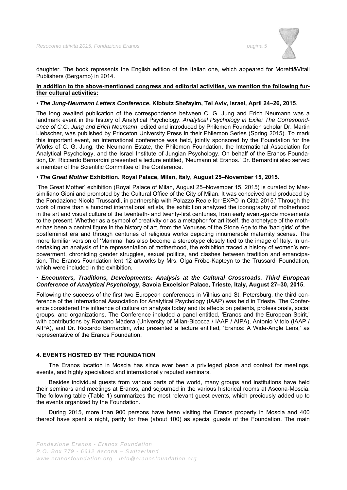

daughter. The book represents the English edition of the Italian one, which appeared for Moretti&Vitali Publishers (Bergamo) in 2014.

# **In addition to the above-mentioned congress and editorial activities, we mention the following further cultural activities:**

#### • *The Jung-Neumann Letters Conference***. Kibbutz Shefayim, Tel Aviv, Israel, April 24–26, 2015**.

The long awaited publication of the correspondence between C. G. Jung and Erich Neumann was a landmark event in the history of Analytical Psychology. *Analytical Psychology in Exile: The Correspondence of C.G. Jung and Erich Neumann*, edited and introduced by Philemon Foundation scholar Dr. Martin Liebscher, was published by Princeton University Press in their Philemon Series (Spring 2015). To mark this important event, an international conference was held, jointly sponsored by the Foundation for the Works of C. G. Jung, the Neumann Estate, the Philemon Foundation, the International Association for Analytical Psychology, and the Israel Institute of Jungian Psychology. On behalf of the Eranos Foundation, Dr. Riccardo Bernardini presented a lecture entitled, 'Neumann at Eranos.' Dr. Bernardini also served a member of the Scientific Committee of the Conference.

#### • *The Great Mother* **Exhibition. Royal Palace, Milan, Italy, August 25–November 15, 2015.**

'The Great Mother' exhibition (Royal Palace of Milan, August 25–November 15, 2015) is curated by Massimiliano Gioni and promoted by the Cultural Office of the City of Milan. It was conceived and produced by the Fondazione Nicola Trussardi, in partnership with Palazzo Reale for 'EXPO in Città 2015.' Through the work of more than a hundred international artists, the exhibition analyzed the iconography of motherhood in the art and visual culture of the twentieth- and twenty-first centuries, from early avant-garde movements to the present. Whether as a symbol of creativity or as a metaphor for art itself, the archetype of the mother has been a central figure in the history of art, from the Venuses of the Stone Age to the 'bad girls' of the postfeminist era and through centuries of religious works depicting innumerable maternity scenes. The more familiar version of 'Mamma' has also become a stereotype closely tied to the image of Italy. In undertaking an analysis of the representation of motherhood, the exhibition traced a history of women's empowerment, chronicling gender struggles, sexual politics, and clashes between tradition and emancipation. The Eranos Foundation lent 12 artworks by Mrs. Olga Fröbe-Kapteyn to the Trussardi Foundation, which were included in the exhibition.

## • *Encounters, Traditions, Developments: Analysis at the Cultural Crossroads. Third European Conference of Analytical Psychology***, Savoia Excelsior Palace, Trieste, Italy, August 27–30, 2015**.

Following the success of the first two European conferences in Vilnius and St. Petersburg, the third conference of the International Association for Analytical Psychology (IAAP) was held in Trieste. The Conference considered the influence of culture on analysis today and its effects on patients, professionals, social groups, and organizations. The Conference included a panel entitled, 'Eranos and the European Spirit,' with contributions by Romano Màdera (University of Milan-Bicocca / IAAP / AIPA), Antonio Vitolo (IAAP / AIPA), and Dr. Riccardo Bernardini, who presented a lecture entitled, 'Eranos: A Wide-Angle Lens,' as representative of the Eranos Foundation.

# **4. EVENTS HOSTED BY THE FOUNDATION**

The Eranos location in Moscia has since ever been a privileged place and context for meetings, events, and highly specialized and internationally reputed seminars.

Besides individual guests from various parts of the world, many groups and institutions have held their seminars and meetings at Eranos, and sojourned in the various historical rooms at Ascona-Moscia. The following table (Table 1) summarizes the most relevant guest events, which preciously added up to the events organized by the Foundation.

During 2015, more than 900 persons have been visiting the Eranos property in Moscia and 400 thereof have spent a night, partly for free (about 100) as special guests of the Foundation. The main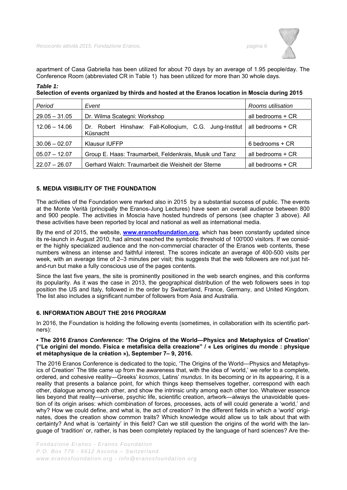apartment of Casa Gabriella has been utilized for about 70 days by an average of 1.95 people/day. The Conference Room (abbreviated CR in Table 1) has been utilized for more than 30 whole days.

# *Table 1:*

| Period          | Event                                                              | Rooms utilisation |
|-----------------|--------------------------------------------------------------------|-------------------|
| $29.05 - 31.05$ | Dr. Wilma Scategni: Workshop                                       | all bedrooms + CR |
| $12.06 - 14.06$ | Dr. Robert Hinshaw: Fall-Kollogium, C.G. Jung-Institut<br>Küsnacht | all bedrooms + CR |
| $30.06 - 02.07$ | <b>Klausur IUFFP</b>                                               | 6 bedrooms + CR   |
| $05.07 - 12.07$ | Group E. Haas: Traumarbeit, Feldenkrais, Musik und Tanz            | all bedrooms + CR |
| $22.07 - 26.07$ | Gerhard Walch: Traumarbeit die Weisheit der Sterne                 | all bedrooms + CR |

**Selection of events organized by thirds and hosted at the Eranos location in Moscia during 2015** 

# **5. MEDIA VISIBILITY OF THE FOUNDATION**

The activities of the Foundation were marked also in 2015 by a substantial success of public. The events at the Monte Verità (principally the Eranos-Jung Lectures) have seen an overall audience between 800 and 900 people. The activities in Moscia have hosted hundreds of persons (see chapter 3 above). All these activities have been reported by local and national as well as international media.

By the end of 2015, the website, **www.eranosfoundation.org**, which has been constantly updated since its re-launch in August 2010, had almost reached the symbolic threshold of 100'000 visitors. If we consider the highly specialized audience and the non-commercial character of the Eranos web contents, these numbers witness an intense and faithful interest. The scores indicate an average of 400-500 visits per week, with an average time of 2–3 minutes per visit; this suggests that the web followers are not just hitand-run but make a fully conscious use of the pages contents.

Since the last five years, the site is prominently positioned in the web search engines, and this conforms its popularity. As it was the case in 2013, the geographical distribution of the web followers sees in top position the US and Italy, followed in the order by Switzerland, France, Germany, and United Kingdom. The list also includes a significant number of followers from Asia and Australia.

# **6. INFORMATION ABOUT THE 2016 PROGRAM**

In 2016, the Foundation is holding the following events (sometimes, in collaboration with its scientific partners):

# **• The 2016** *Eranos Conference***: 'The Origins of the World—Physics and Metaphysics of Creation' ("Le origini del mondo. Fisica e metafisica della creazione" / « Les origines du monde : physique et métaphysique de la création »), September 7– 9, 2016.**

The 2016 Eranos Conference is dedicated to the topic, 'The Origins of the World—Physics and Metaphysics of Creation' The title came up from the awareness that, with the idea of 'world,' we refer to a complete, ordered, and cohesive reality—Greeks' *kosmos*, Latins' *mundus*. In its becoming or in its appearing, it is a reality that presents a balance point, for which things keep themselves together, correspond with each other, dialogue among each other, and show the intrinsic unity among each other too. Whatever essence lies beyond that reality—universe, psychic life, scientific creation, artwork—always the unavoidable question of its origin arises: which combination of forces, processes, acts of will could generate a 'world,' and why? How we could define, and what is, the act of creation? In the different fields in which a 'world' originates, does the creation show common traits? Which knowledge would allow us to talk about that with certainty? And what is 'certainty' in this field? Can we still question the origins of the world with the language of 'tradition' or, rather, is has been completely replaced by the language of hard sciences? Are the-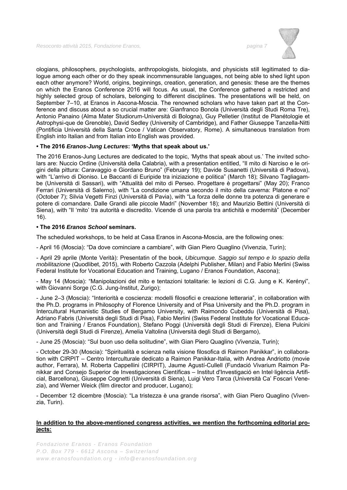

ologians, philosophers, psychologists, anthropologists, biologists, and physicists still legitimated to dialogue among each other or do they speak incommensurable languages, not being able to shed light upon each other anymore? World, origins, beginnings, creation, generation, and genesis: these are the themes on which the Eranos Conference 2016 will focus. As usual, the Conference gathered a restricted and highly selected group of scholars, belonging to different disciplines. The presentations will be held, on September 7–10, at Eranos in Ascona-Moscia. The renowned scholars who have taken part at the Conference and discuss about a so crucial matter are: Gianfranco Bonola (Università degli Studi Roma Tre), Antonio Panaino (Alma Mater Studiorum-Università di Bologna), Guy Pelletier (Institut de Planétologie et Astrophysi-que de Grenoble), David Sedley (University of Cambridge), and Father Giuseppe Tanzella-Nitti (Pontificia Università della Santa Croce / Vatican Observatory, Rome). A simultaneous translation from English into Italian and from Italian into English was provided.

# **• The 2016** *Eranos-Jung Lectures***: 'Myths that speak about us.'**

The 2016 Eranos-Jung Lectures are dedicated to the topic, 'Myths that speak about us.' The invited scholars are: Nuccio Ordine (Università della Calabria), with a presentation entitled, "Il mito di Narciso e le origini della pittura: Caravaggio e Giordano Bruno" (February 19); Davide Susanetti (Università di Padova), with "L'arrivo di Dioniso. Le Baccanti di Euripide tra iniziazione e politica" (March 18); Silvano Tagliagambe (Università di Sassari), with "Attualità del mito di Perseo. Progettare è progettarsi" (May 20); Franco Ferrari (Università di Salerno), with "La condizione umana secondo il mito della caverna: Platone e noi" (October 7); Silvia Vegetti Finzi (Università di Pavia), with "La forza delle donne tra potenza di generare e potere di comandare. Dalle Grandi alle piccole Madri" (November 18); and Maurizio Bettini (Università di Siena), with "Il 'mito' tra autorità e discredito. Vicende di una parola tra antichità e modernità" (December 16).

# **• The 2016** *Eranos School* **seminars.**

The scheduled workshops, to be held at Casa Eranos in Ascona-Moscia, are the following ones:

- April 16 (Moscia): "Da dove cominciare a cambiare", with Gian Piero Quaglino (Vivenzia, Turin);

- April 29 aprile (Monte Verità): Presentatin of the book, *Ubicumque. Saggio sul tempo e lo spazio della mobilitazione* (Quodlibet, 2015), with Roberto Cazzola (Adelphi Publisher, Milan) and Fabio Merlini (Swiss Federal Institute for Vocational Education and Training, Lugano / Eranos Foundation, Ascona);

- May 14 (Moscia): "Manipolazioni del mito e tentazioni totalitarie: le lezioni di C.G. Jung e K. Kerényi", with Giovanni Sorge (C.G. Jung-Institut, Zurigo);

- June 2–3 (Moscia): "Interiorità e coscienza: modelli filosofici e creazione letteraria", in collaboration with the Ph.D. programs in Philosophy of Florence University and of Pisa University and the Ph.D. program in Intercultural Humanistic Studies of Bergamo University, with Raimondo Cubeddu (Università di Pisa), Adriano Fabris (Università degli Studi di Pisa), Fabio Merlini (Swiss Federal Institute for Vocational Education and Training / Eranos Foundation), Stefano Poggi (Università degli Studi di Firenze), Elena Pulcini (Università degli Studi di Firenze), Amelia Valtolina (Università degli Studi di Bergamo),

- June 25 (Moscia): "Sul buon uso della solitudine", with Gian Piero Quaglino (Vivenzia, Turin);

- October 29-30 (Moscia): "Spiritualità e scienza nella visione filosofica di Raimon Panikkar", in collaboration with CIRPIT – Centro Interculturale dedicato a Raimon Panikkar-Italia, with Andrea Andriotto (movie author, Ferrara), M. Roberta Cappellini (CIRPIT), Jaume Agustí-Cullell (Fundació Vivarium Raimon Panikkar and Consejo Superior de Investigaciones Científicas – Institut d'Investigació en Intel·ligència Artificial, Barcellona), Giuseppe Cognetti (Università di Siena), Luigi Vero Tarca (Università Ca' Foscari Venezia), and Werner Weick (film director and producer, Lugano);

- December 12 dicembre (Moscia): "La tristezza è una grande risorsa", with Gian Piero Quaglino (Vivenzia, Turin).

# **In addition to the above-mentioned congress activities, we mention the forthcoming editorial projects:**

*Fondazione Eranos - Eranos Foundation P.O. Box 779 - 6612 Ascona – Switzerland www.eranosfoundation.org - info@eranosfoundation.org*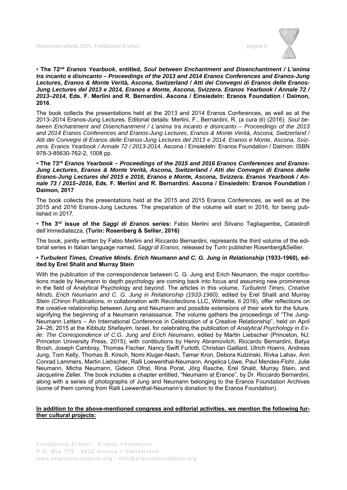

## • **The 72nd** *Eranos Yearbook***, entitled,** *Soul between Enchantment and Disenchantment / L'anima tra incanto e disincanto – Proceedings of the 2013 and 2014 Eranos Conferences and Eranos-Jung Lectures, Eranos & Monte Verità, Ascona, Switzerland / Atti dei Convegni di Eranos delle Eranos-Jung Lectures del 2013 e 2014, Eranos e Monte, Ascona, Svizzera. Eranos Yearbook / Annale 72 / 2013–2014***, Eds. F. Merlini and R. Bernardini. Ascona / Einsiedeln: Eranos Foundation / Daimon, 2016**.

The book collects the presentations held at the 2013 and 2014 Eranos Conferences, as well as at the 2013–2014 Eranos-Jung Lectures. Editorial details: Merlini, F., Bernardini, R. (a cura di) (2016). *Soul between Enchantment and Disenchantment / L'anima tra incanto e disincanto – Proceedings of the 2013 and 2014 Eranos Conferences and Eranos-Jung Lectures, Eranos & Monte Verità, Ascona, Switzerland / Atti dei Convegni di Eranos delle Eranos-Jung Lectures del 2013 e 2014, Eranos e Monte, Ascona, Svizzera. Eranos Yearbook / Annale 72 / 2013-2014*. Ascona / Einsiedeln: Eranos Foundation / Daimon. ISBN 978-3-85630-762-2, 1008 pp.

## • **The 73rd** *Eranos Yearbook – Proceedings of the 2015 and 2016 Eranos Conferences and Eranos-Jung Lectures, Eranos & Monte Verità, Ascona, Switzerland / Atti dei Convegni di Eranos delle Eranos-Jung Lectures del 2015 e 2016, Eranos e Monte, Ascona, Svizzera. Eranos Yearbook / Annale 73 / 2015–2016***, Eds. F. Merlini and R. Bernardini. Ascona / Einsiedeln: Eranos Foundation / Daimon, 2017**

The book collects the presentations held at the 2015 and 2015 Eranos Conferences, as well as at the 2015 and 2016 Eranos-Jung Lectures. The preparation of the volume will start in 2016, for being published in 2017.

• **The 3rd issue of the** *Saggi di Eranos* **series:** Fabio Merlini and Silvano Tagliagambe**,** Catastrofi dell'immediatezza, **(Turin: Rosenberg & Sellier, 2016)** 

The book, jointly written by Fabio Merlini and Riccardo Bernardini, represents the third volume of the editorial series in Italian language named, *Saggi di Eranos*, released by Turin publisher Rosenberg&Sellier.

# **•** *Turbulent Times, Creative Minds. Erich Neumann and C. G. Jung in Relationship* **(1933-1960), edited by Erel Shalit and Murray Stein**

With the publication of the correspondence between C. G. Jung and Erich Neumann, the major contributions made by Neumann to depth psychology are coming back into focus and assuming new prominence in the field of Analytical Psychology and beyond. The articles in this volume, *Turbulent Times, Creative Minds. Erich Neumann and C. G. Jung in Relationship (1933-1960)*, edited by Erel Shalit and Murray Stein (Chiron Publications, in collaboration with Recollections LLC, Wilmette, Il 2016), offer reflections on the creative relationship between Jung and Neumann and possible extensions of their work for the future, signifying the beginning of a Neumann renaissance. The volume gathers the proceedings of "The Jung-Neumann Letters – An International Conference in Celebration of a Creative Relationship", held on April 24–26, 2015 at the Kibbutz Shefayim, Israel, for celebrating the publication of *Analytical Psychology in Exile: The Correspondence of C.G. Jung and Erich Neumann*, edited by Martin Liebscher (Princeton, NJ: Princeton University Press, 2015); with contibutions by Henry Abramovitch, Riccardo Bernardini, Batya Brosh, Joseph Cambray, Thomas Fischer, Nancy Swift Furlotti, Christian Gaillard, Ulrich Hoerni, Andreas Jung, Tom Kelly, Thomas B. Kirsch, Nomi Kluger-Nash, Tamar Kron, Debora Kutzinski, Rivka Lahav, Ann Conrad Lammers, Martin Liebscher, Ralli Loewenthal-Neumann, Angelica Löwe, Paul Mendes-Flohr, Julie Neumann, Micha Neumann, Gideon Ofrat, Rina Porat, Jörg Rasche, Erel Shalit, Murray Stein, and Jacqueline Zeller. The book includes a chapter entitled, "Neumann at Eranos", by Dr. Riccardo Bernardini, along with a series of photographs of Jung and Neumann belonging to the Eranos Foundation Archives (some of them coming from Ralli Loewenthal-Neumann's donation to the Eranos Foundation).

# **In addition to the above-mentioned congress and editorial activities, we mention the following further cultural projects:**